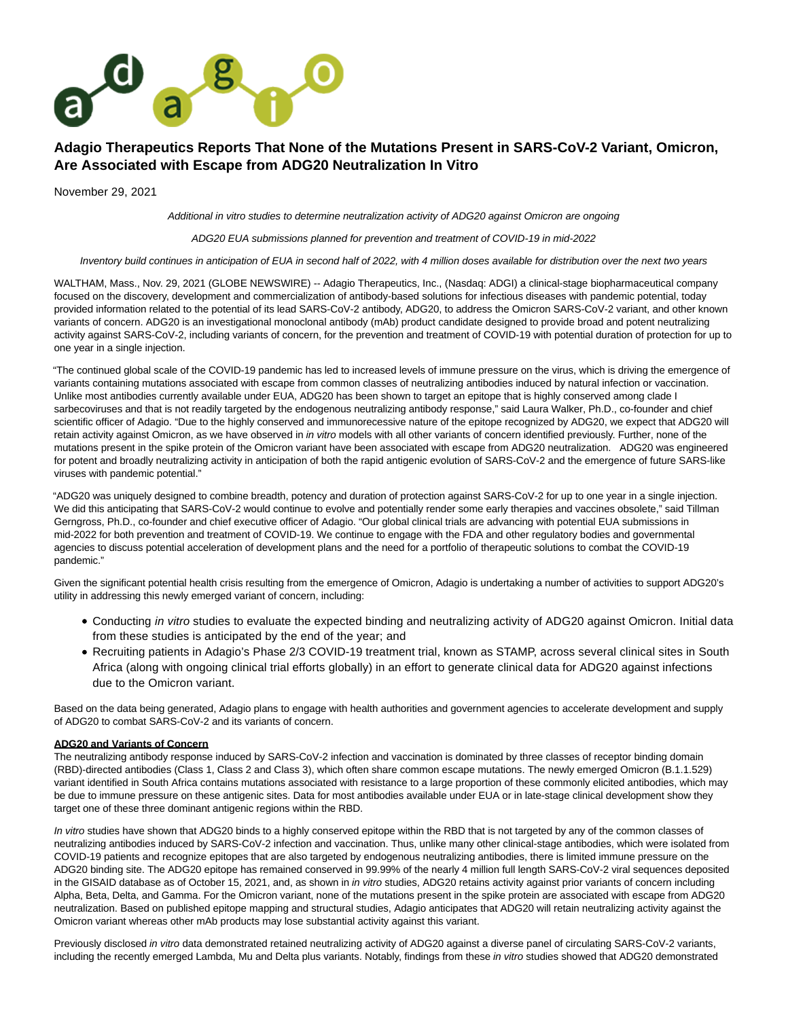

# **Adagio Therapeutics Reports That None of the Mutations Present in SARS-CoV-2 Variant, Omicron, Are Associated with Escape from ADG20 Neutralization In Vitro**

November 29, 2021

Additional in vitro studies to determine neutralization activity of ADG20 against Omicron are ongoing

ADG20 EUA submissions planned for prevention and treatment of COVID-19 in mid-2022

Inventory build continues in anticipation of EUA in second half of 2022, with 4 million doses available for distribution over the next two years

WALTHAM, Mass., Nov. 29, 2021 (GLOBE NEWSWIRE) -- Adagio Therapeutics, Inc., (Nasdaq: ADGI) a clinical-stage biopharmaceutical company focused on the discovery, development and commercialization of antibody-based solutions for infectious diseases with pandemic potential, today provided information related to the potential of its lead SARS-CoV-2 antibody, ADG20, to address the Omicron SARS-CoV-2 variant, and other known variants of concern. ADG20 is an investigational monoclonal antibody (mAb) product candidate designed to provide broad and potent neutralizing activity against SARS-CoV-2, including variants of concern, for the prevention and treatment of COVID-19 with potential duration of protection for up to one year in a single injection.

"The continued global scale of the COVID-19 pandemic has led to increased levels of immune pressure on the virus, which is driving the emergence of variants containing mutations associated with escape from common classes of neutralizing antibodies induced by natural infection or vaccination. Unlike most antibodies currently available under EUA, ADG20 has been shown to target an epitope that is highly conserved among clade I sarbecoviruses and that is not readily targeted by the endogenous neutralizing antibody response," said Laura Walker, Ph.D., co-founder and chief scientific officer of Adagio. "Due to the highly conserved and immunorecessive nature of the epitope recognized by ADG20, we expect that ADG20 will retain activity against Omicron, as we have observed in in vitro models with all other variants of concern identified previously. Further, none of the mutations present in the spike protein of the Omicron variant have been associated with escape from ADG20 neutralization. ADG20 was engineered for potent and broadly neutralizing activity in anticipation of both the rapid antigenic evolution of SARS-CoV-2 and the emergence of future SARS-like viruses with pandemic potential."

"ADG20 was uniquely designed to combine breadth, potency and duration of protection against SARS-CoV-2 for up to one year in a single injection. We did this anticipating that SARS-CoV-2 would continue to evolve and potentially render some early therapies and vaccines obsolete," said Tillman Gerngross, Ph.D., co-founder and chief executive officer of Adagio. "Our global clinical trials are advancing with potential EUA submissions in mid-2022 for both prevention and treatment of COVID-19. We continue to engage with the FDA and other regulatory bodies and governmental agencies to discuss potential acceleration of development plans and the need for a portfolio of therapeutic solutions to combat the COVID-19 pandemic."

Given the significant potential health crisis resulting from the emergence of Omicron, Adagio is undertaking a number of activities to support ADG20's utility in addressing this newly emerged variant of concern, including:

- Conducting in vitro studies to evaluate the expected binding and neutralizing activity of ADG20 against Omicron. Initial data from these studies is anticipated by the end of the year; and
- Recruiting patients in Adagio's Phase 2/3 COVID-19 treatment trial, known as STAMP, across several clinical sites in South Africa (along with ongoing clinical trial efforts globally) in an effort to generate clinical data for ADG20 against infections due to the Omicron variant.

Based on the data being generated, Adagio plans to engage with health authorities and government agencies to accelerate development and supply of ADG20 to combat SARS-CoV-2 and its variants of concern.

#### **ADG20 and Variants of Concern**

The neutralizing antibody response induced by SARS-CoV-2 infection and vaccination is dominated by three classes of receptor binding domain (RBD)-directed antibodies (Class 1, Class 2 and Class 3), which often share common escape mutations. The newly emerged Omicron (B.1.1.529) variant identified in South Africa contains mutations associated with resistance to a large proportion of these commonly elicited antibodies, which may be due to immune pressure on these antigenic sites. Data for most antibodies available under EUA or in late-stage clinical development show they target one of these three dominant antigenic regions within the RBD.

In vitro studies have shown that ADG20 binds to a highly conserved epitope within the RBD that is not targeted by any of the common classes of neutralizing antibodies induced by SARS-CoV-2 infection and vaccination. Thus, unlike many other clinical-stage antibodies, which were isolated from COVID-19 patients and recognize epitopes that are also targeted by endogenous neutralizing antibodies, there is limited immune pressure on the ADG20 binding site. The ADG20 epitope has remained conserved in 99.99% of the nearly 4 million full length SARS-CoV-2 viral sequences deposited in the GISAID database as of October 15, 2021, and, as shown in in vitro studies, ADG20 retains activity against prior variants of concern including Alpha, Beta, Delta, and Gamma. For the Omicron variant, none of the mutations present in the spike protein are associated with escape from ADG20 neutralization. Based on published epitope mapping and structural studies, Adagio anticipates that ADG20 will retain neutralizing activity against the Omicron variant whereas other mAb products may lose substantial activity against this variant.

Previously disclosed in vitro data demonstrated retained neutralizing activity of ADG20 against a diverse panel of circulating SARS-CoV-2 variants, including the recently emerged Lambda, Mu and Delta plus variants. Notably, findings from these in vitro studies showed that ADG20 demonstrated